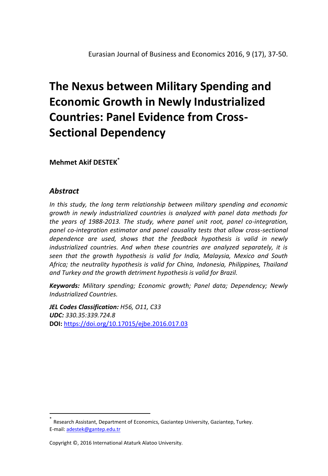# **The Nexus between Military Spending and Economic Growth in Newly Industrialized Countries: Panel Evidence from Cross-Sectional Dependency**

**Mehmet Akif DESTEK\***

## *Abstract*

 $\overline{a}$ 

*In this study, the long term relationship between military spending and economic growth in newly industrialized countries is analyzed with panel data methods for the years of 1988-2013. The study, where panel unit root, panel co-integration,*  panel co-integration estimator and panel causality tests that allow cross-sectional *dependence are used, shows that the feedback hypothesis is valid in newly industrialized countries. And when these countries are analyzed separately, it is seen that the growth hypothesis is valid for India, Malaysia, Mexico and South Africa; the neutrality hypothesis is valid for China, Indonesia, Philippines, Thailand and Turkey and the growth detriment hypothesis is valid for Brazil.* 

*Keywords: Military spending; Economic growth; Panel data; Dependency; Newly Industrialized Countries.*

*JEL Codes Classification: H56, O11, C33 UDC: 330.35:339.724.8* **DOI:** <https://doi.org/10.17015/ejbe.2016.017.03>

<sup>\*</sup> Research Assistant, Department of Economics, Gaziantep University, Gaziantep, Turkey. E-mail[: adestek@gantep.edu.tr](mailto:adestek@gantep.edu.tr)

Copyright ©, 2016 International Ataturk Alatoo University.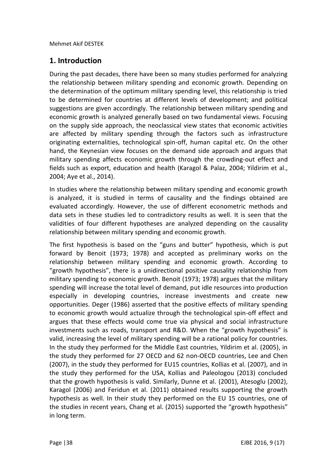## **1. Introduction**

During the past decades, there have been so many studies performed for analyzing the relationship between military spending and economic growth. Depending on the determination of the optimum military spending level, this relationship is tried to be determined for countries at different levels of development; and political suggestions are given accordingly. The relationship between military spending and economic growth is analyzed generally based on two fundamental views. Focusing on the supply side approach, the neoclassical view states that economic activities are affected by military spending through the factors such as infrastructure originating externalities, technological spin-off, human capital etc. On the other hand, the Keynesian view focuses on the demand side approach and argues that military spending affects economic growth through the crowding-out effect and fields such as export, education and health (Karagol & Palaz, 2004; Yildirim et al., 2004; Aye et al., 2014).

In studies where the relationship between military spending and economic growth is analyzed, it is studied in terms of causality and the findings obtained are evaluated accordingly. However, the use of different econometric methods and data sets in these studies led to contradictory results as well. It is seen that the validities of four different hypotheses are analyzed depending on the causality relationship between military spending and economic growth.

The first hypothesis is based on the "guns and butter" hypothesis, which is put forward by Benoit (1973; 1978) and accepted as preliminary works on the relationship between military spending and economic growth. According to "growth hypothesis", there is a unidirectional positive causality relationship from military spending to economic growth. Benoit (1973; 1978) argues that the military spending will increase the total level of demand, put idle resources into production especially in developing countries, increase investments and create new opportunities. Deger (1986) asserted that the positive effects of military spending to economic growth would actualize through the technological spin-off effect and argues that these effects would come true via physical and social infrastructure investments such as roads, transport and R&D. When the "growth hypothesis" is valid, increasing the level of military spending will be a rational policy for countries. In the study they performed for the Middle East countries, Yildirim et al. (2005), in the study they performed for 27 OECD and 62 non-OECD countries, Lee and Chen (2007), in the study they performed for EU15 countries, Kollias et al. (2007), and in the study they performed for the USA, Kollias and Paleologou (2013) concluded that the growth hypothesis is valid. Similarly, Dunne et al. (2001), Atesoglu (2002), Karagol (2006) and Feridun et al. (2011) obtained results supporting the growth hypothesis as well. In their study they performed on the EU 15 countries, one of the studies in recent years, Chang et al. (2015) supported the "growth hypothesis" in long term.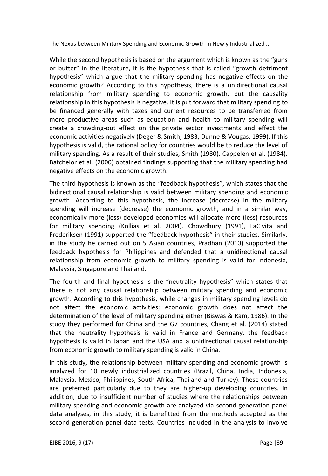While the second hypothesis is based on the argument which is known as the "guns" or butter" in the literature, it is the hypothesis that is called "growth detriment hypothesis" which argue that the military spending has negative effects on the economic growth? According to this hypothesis, there is a unidirectional causal relationship from military spending to economic growth, but the causality relationship in this hypothesis is negative. It is put forward that military spending to be financed generally with taxes and current resources to be transferred from more productive areas such as education and health to military spending will create a crowding-out effect on the private sector investments and effect the economic activities negatively (Deger & Smith, 1983; Dunne & Vougas, 1999). If this hypothesis is valid, the rational policy for countries would be to reduce the level of military spending. As a result of their studies, Smith (1980), Cappelen et al. (1984), Batchelor et al. (2000) obtained findings supporting that the military spending had negative effects on the economic growth.

The third hypothesis is known as the "feedback hypothesis", which states that the bidirectional causal relationship is valid between military spending and economic growth. According to this hypothesis, the increase (decrease) in the military spending will increase (decrease) the economic growth, and in a similar way, economically more (less) developed economies will allocate more (less) resources for military spending (Kollias et al. 2004). Chowdhury (1991), LaCivita and Frederiksen (1991) supported the "feedback hypothesis" in their studies. Similarly, in the study he carried out on 5 Asian countries, Pradhan (2010) supported the feedback hypothesis for Philippines and defended that a unidirectional causal relationship from economic growth to military spending is valid for Indonesia, Malaysia, Singapore and Thailand.

The fourth and final hypothesis is the "neutrality hypothesis" which states that there is not any causal relationship between military spending and economic growth. According to this hypothesis, while changes in military spending levels do not affect the economic activities; economic growth does not affect the determination of the level of military spending either (Biswas & Ram, 1986). In the study they performed for China and the G7 countries, Chang et al. (2014) stated that the neutrality hypothesis is valid in France and Germany, the feedback hypothesis is valid in Japan and the USA and a unidirectional causal relationship from economic growth to military spending is valid in China.

In this study, the relationship between military spending and economic growth is analyzed for 10 newly industrialized countries (Brazil, China, India, Indonesia, Malaysia, Mexico, Philippines, South Africa, Thailand and Turkey). These countries are preferred particularly due to they are higher-up developing countries. In addition, due to insufficient number of studies where the relationships between military spending and economic growth are analyzed via second generation panel data analyses, in this study, it is benefitted from the methods accepted as the second generation panel data tests. Countries included in the analysis to involve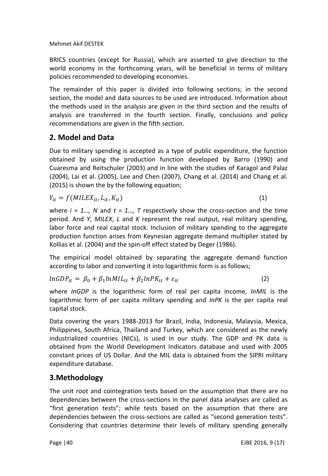BRICS countries (except for Russia), which are asserted to give direction to the world economy in the forthcoming years, will be beneficial in terms of military policies recommended to developing economies.

The remainder of this paper is divided into following sections; in the second section, the model and data sources to be used are introduced. Information about the methods used in the analysis are given in the third section and the results of analysis are transferred in the fourth section. Finally, conclusions and policy recommendations are given in the fifth section.

# **2. Model and Data**

Due to military spending is accepted as a type of public expenditure, the function obtained by using the production function developed by Barro (1990) and Cuaresma and Reitschuler (2003) and in line with the studies of Karagol and Palaz (2004), Lai et al. (2005), Lee and Chen (2007), Chang et al. (2014) and Chang et al. (2015) is shown the by the following equation;

$$
Y_{it} = f(MILEX_{it}, L_{it}, K_{it})
$$
\n<sup>(1)</sup>

where  $i = 1...$ , N and  $t = 1...$ , T respectively show the cross-section and the time period. And *Y*, *MILEX*, *L* and *K* represent the real output, real military spending, labor force and real capital stock. Inclusion of military spending to the aggregate production function arises from Keynesian aggregate demand multiplier stated by Kollias et al. (2004) and the spin-off effect stated by Deger (1986).

The empirical model obtained by separating the aggregate demand function according to labor and converting it into logarithmic form is as follows;

 $lnGDP_{it} = \beta_0 + \beta_1 lnMIL_{it} + \beta_2 lnPK_{it} + \varepsilon_{it}$  (2)

where *InGDP* is the logarithmic form of real per capita income, *InMIL* is the logarithmic form of per capita military spending and *InPK* is the per capita real capital stock.

Data covering the years 1988-2013 for Brazil, India, Indonesia, Malaysia, Mexica, Philippines, South Africa, Thailand and Turkey, which are considered as the newly industrialized countries (NICs), is used in our study. The GDP and PK data is obtained from the World Development Indicators database and used with 2005 constant prices of US Dollar. And the MIL data is obtained from the SIPRI military expenditure database.

# **3.Methodology**

The unit root and cointegration tests based on the assumption that there are no dependencies between the cross-sections in the panel data analyses are called as "first generation tests"; while tests based on the assumption that there are dependencies between the cross-sections are called as "second generation tests". Considering that countries determine their levels of military spending generally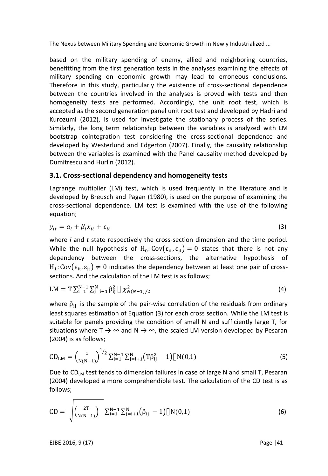based on the military spending of enemy, allied and neighboring countries, benefitting from the first generation tests in the analyses examining the effects of military spending on economic growth may lead to erroneous conclusions. Therefore in this study, particularly the existence of cross-sectional dependence between the countries involved in the analyses is proved with tests and then homogeneity tests are performed. Accordingly, the unit root test, which is accepted as the second generation panel unit root test and developed by Hadri and Kurozumi (2012), is used for investigate the stationary process of the series. Similarly, the long term relationship between the variables is analyzed with LM bootstrap cointegration test considering the cross-sectional dependence and developed by Westerlund and Edgerton (2007). Finally, the causality relationship between the variables is examined with the Panel causality method developed by Dumitrescu and Hurlin (2012).

## **3.1. Cross-sectional dependency and homogeneity tests**

Lagrange multiplier (LM) test, which is used frequently in the literature and is developed by Breusch and Pagan (1980), is used on the purpose of examining the cross-sectional dependence. LM test is examined with the use of the following equation;

$$
y_{it} = a_i + \beta_i x_{it} + \varepsilon_{it} \tag{3}
$$

where *i* and *t* state respectively the cross-section dimension and the time period. While the null hypothesis of  $H_0$ : Cov $(\epsilon_{it}, \epsilon_{it}) = 0$  states that there is not any dependency between the cross-sections, the alternative hypothesis of  $\text{H}_1$ : Cov $(\varepsilon_{\text{it}},\varepsilon_{\text{it}})\neq 0$  indicates the dependency between at least one pair of crosssections. And the calculation of the LM test is as follows;

$$
LM = T \sum_{i=1}^{N-1} \sum_{j=i+1}^{N} \hat{\rho}_{ij}^2 \left[ \chi^2_{N(N-1)/2} \right] \tag{4}
$$

where  $\hat{\rho}_{ii}$  is the sample of the pair-wise correlation of the residuals from ordinary least squares estimation of Equation (3) for each cross section. While the LM test is suitable for panels providing the condition of small N and sufficiently large T, for situations where  $T \rightarrow \infty$  and  $N \rightarrow \infty$ , the scaled LM version developed by Pesaran (2004) is as follows;

$$
CD_{LM} = \left(\frac{1}{N(N-1)}\right)^{1/2} \sum_{i=1}^{N-1} \sum_{j=i+1}^{N} \left(T\hat{\rho}_{ij}^2 - 1\right) \left[N(0,1)\right]
$$
(5)

Due to  $CD_{LM}$  test tends to dimension failures in case of large N and small T, Pesaran (2004) developed a more comprehendible test. The calculation of the CD test is as follows;

$$
CD = \sqrt{\frac{2T}{N(N-1)}} \sum_{i=1}^{N-1} \sum_{j=i+1}^{N} (\hat{\rho}_{ij} - 1) [N(0,1)] \tag{6}
$$

EJBE 2016, 9 (17) Page |41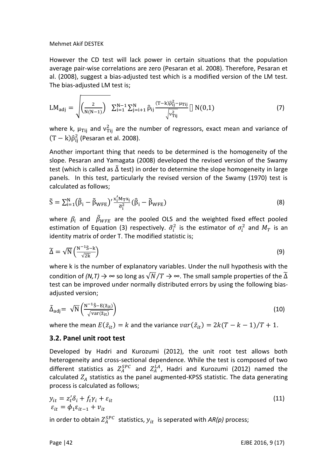However the CD test will lack power in certain situations that the population average pair-wise correlations are zero (Pesaran et al. 2008). Therefore, Pesaran et al. (2008), suggest a bias-adjusted test which is a modified version of the LM test. The bias-adjusted LM test is;

$$
LM_{adj} = \sqrt{\left(\frac{2}{N(N-1)}\right) \sum_{i=1}^{N-1} \sum_{j=i+1}^{N} \hat{\rho}_{ij} \frac{(T-k)\hat{\rho}_{ij}^{2} - \mu_{Tij}}{\sqrt{v_{Tij}^{2}}} \left[ N(0,1) \right]}
$$
(7)

where k,  $\mu_{\rm Tij}$  and  $v_{\rm Tij}^2$  are the number of regressors, exact mean and variance of  $(T-k)\hat{\rho}_{ij}^2$  (Pesaran et al. 2008).

Another important thing that needs to be determined is the homogeneity of the slope. Pesaran and Yamagata (2008) developed the revised version of the Swamy test (which is called as  $\tilde{\Delta}$  test) in order to determine the slope homogeneity in large panels. In this test, particularly the revised version of the Swamy (1970) test is calculated as follows;

$$
\tilde{S} = \sum_{i=1}^{N} (\hat{\beta}_i - \tilde{\beta}_{WFE})' \frac{x'_i M_T x_i}{\tilde{\sigma}_i^2} (\hat{\beta}_i - \tilde{\beta}_{WFE})
$$
\n(8)

where  $\beta_i$  and  $\tilde{\beta}_{WFE}$  are the pooled OLS and the weighted fixed effect pooled estimation of Equation (3) respectively.  $\tilde{\sigma}_{i}^{2}$  is the estimator of  $\sigma_{i}^{2}$  and  $M_{T}$  is an identity matrix of order T. The modified statistic is;

$$
\widetilde{\Delta} = \sqrt{N} \left( \frac{N^{-1} \widetilde{S} - k}{\sqrt{2k}} \right) \tag{9}
$$

where k is the number of explanatory variables. Under the null hypothesis with the condition of *(N,T)*  $\rightarrow \infty$  so long as  $\sqrt{N}/T \rightarrow \infty$ . The small sample properties of the  $\widetilde{\Delta}$ test can be improved under normally distributed errors by using the following biasadjusted version;

$$
\tilde{\Delta}_{\text{adj}} = \sqrt{N} \left( \frac{N^{-1} \tilde{S} - E(\tilde{z}_{\text{it}})}{\sqrt{\text{var}(\tilde{z}_{\text{it}})}} \right) \tag{10}
$$

where the mean  $E(\tilde{z}_{it}) = k$  and the variance  $var(\tilde{z}_{it}) = 2k(T - k - 1)/T + 1$ .

#### **3.2. Panel unit root test**

Developed by Hadri and Kurozumi (2012), the unit root test allows both heterogeneity and cross-sectional dependence. While the test is composed of two different statistics as  $Z_A^{SPC}$  and  $Z_A^{LA}$ , Hadri and Kurozumi (2012) named the calculated  $Z_A$  statistics as the panel augmented-KPSS statistic. The data generating process is calculated as follows;

$$
y_{it} = z_t' \delta_i + f_t \gamma_i + \varepsilon_{it}
$$
  
\n
$$
\varepsilon_{it} = \phi_1 \varepsilon_{it-1} + v_{it}
$$
\n(11)

in order to obtain  $Z_A^{SPC}$  statistics,  $y_{it}$  is seperated with  $AR(p)$  process;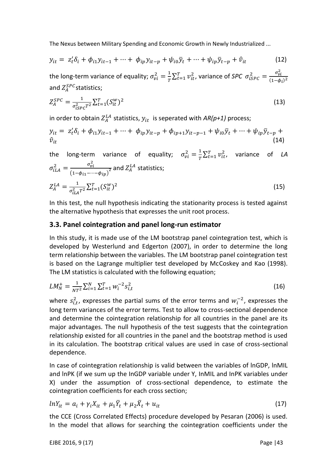$$
y_{it} = z'_t \delta_i + \phi_{i1} y_{it-1} + \dots + \phi_{ip} y_{it-p} + \psi_{i0} \overline{y}_t + \dots + \psi_{ip} \overline{y}_{t-p} + \hat{v}_{it}
$$
(12)

the long-term variance of equality;  $\sigma_{vi}^2 = \frac{1}{T}$  $\frac{1}{T}\sum_{t=1}^{T}v_{it}^{2}$ , variance of *SPC*  $\sigma_{iSPC}^{2} = \frac{\sigma_{v}^{2}}{(1-\phi_{i})^{2}}$  $(1-\phi_i)^2$ and  $Z^{SPC}_A$ statistics;

$$
Z_A^{SPC} = \frac{1}{\sigma_{ISPC}^2 T^2} \sum_{t=1}^{T} (S_{it}^W)^2
$$
\n(13)

in order to obtain  $Z_A^{LA}$  statistics,  $y_{it}\,$  is seperated with  $AR(p+1)$  process;

$$
y_{it} = z_t' \delta_i + \phi_{i1} y_{it-1} + \dots + \phi_{ip} y_{it-p} + \phi_{ip+1} y_{it-p-1} + \psi_{i0} \bar{y}_t + \dots + \psi_{ip} \bar{y}_{t-p} +
$$
  
(14)

the long-term variance of equality;  $\sigma_{vi}^2 = \frac{1}{\pi}$  $\frac{1}{T} \sum_{t=1}^{T} v_{it}^2$ , variance of *LA*  $\sigma_{iLA}^2 = \frac{\sigma_v^2}{\sigma_{iIA}^2}$  $\frac{\sigma_{\boldsymbol{v}i}}{\left(1-\phi_{i1}-\cdots-\phi_{ip}\right)^2}$  and  $Z_A^{LA}$  statistics;  $Z_A^{LA} = \frac{1}{z^2}$  $\frac{1}{\sigma_{iL\mathcal{A}}^2 T^2} \sum_{t=1}^T (S_{it}^w)$  $(15)$ 

In this test, the null hypothesis indicating the stationarity process is tested against the alternative hypothesis that expresses the unit root process.

### **3.3. Panel cointegration and panel long-run estimator**

In this study, it is made use of the LM bootstrap panel cointegration test, which is developed by Westerlund and Edgerton (2007), in order to determine the long term relationship between the variables. The LM bootstrap panel cointegration test is based on the Lagrange multiplier test developed by McCoskey and Kao (1998). The LM statistics is calculated with the following equation;

$$
LM_N^+ = \frac{1}{NT^2} \sum_{i=1}^N \sum_{t=1}^T w_i^{-2} s_{i,t}^2
$$
\n(16)

where  $s_{i,t}^2$ , expresses the partial sums of the error terms and  $w_i^{-2}$ , expresses the long term variances of the error terms. Test to allow to cross-sectional dependence and determine the cointegration relationship for all countries in the panel are its major advantages. The null hypothesis of the test suggests that the cointegration relationship existed for all countries in the panel and the bootstrap method is used in its calculation. The bootstrap critical values are used in case of cross-sectional dependence.

In case of cointegration relationship is valid between the variables of lnGDP, lnMIL and lnPK (if we sum up the InGDP variable under Y, InMIL and InPK variables under X) under the assumption of cross-sectional dependence, to estimate the cointegration coefficients for each cross section;

$$
lnY_{it} = a_i + \gamma_i X_{it} + \mu_1 \overline{Y}_t + \mu_2 \overline{X}_t + u_{it}
$$
\n
$$
(17)
$$

the CCE (Cross Correlated Effects) procedure developed by Pesaran (2006) is used. In the model that allows for searching the cointegration coefficients under the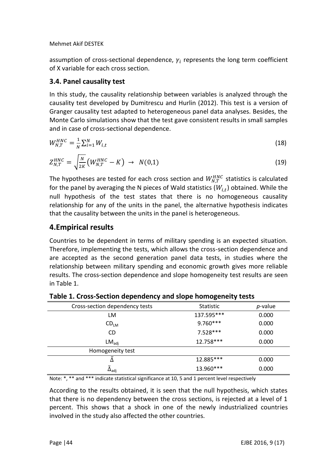assumption of cross-sectional dependence,  $\gamma_i$  represents the long term coefficient of X variable for each cross section.

## **3.4. Panel causality test**

In this study, the causality relationship between variables is analyzed through the causality test developed by Dumitrescu and Hurlin (2012). This test is a version of Granger causality test adapted to heterogeneous panel data analyses. Besides, the Monte Carlo simulations show that the test gave consistent results in small samples and in case of cross-sectional dependence.

$$
W_{N,T}^{HNC} = \frac{1}{N} \sum_{i=1}^{N} W_{i,t}
$$
 (18)

$$
Z_{N,T}^{HNC} = \sqrt{\frac{N}{2K}} \left( W_{N,T}^{HNC} - K \right) \rightarrow N(0,1) \tag{19}
$$

The hypotheses are tested for each cross section and  $W_{N,T}^{HNC}$  statistics is calculated for the panel by averaging the N pieces of Wald statistics ( $W_{i,t}$ ) obtained. While the null hypothesis of the test states that there is no homogeneous causality relationship for any of the units in the panel, the alternative hypothesis indicates that the causality between the units in the panel is heterogeneous.

## **4.Empirical results**

Countries to be dependent in terms of military spending is an expected situation. Therefore, implementing the tests, which allows the cross-section dependence and are accepted as the second generation panel data tests, in studies where the relationship between military spending and economic growth gives more reliable results. The cross-section dependence and slope homogeneity test results are seen in Table 1.

| Cross-section dependency tests | <b>Statistic</b> | <i>p</i> -value |
|--------------------------------|------------------|-----------------|
| LM                             | 137.595***       | 0.000           |
| CD <sub>LM</sub>               | $9.760***$       | 0.000           |
| <b>CD</b>                      | $7.528***$       | 0.000           |
| LM <sub>adi</sub>              | 12.758***        | 0.000           |
| Homogeneity test               |                  |                 |
|                                | 12.885***        | 0.000           |
| $\Delta_{\sf adi}$             | 13.960***        | 0.000           |

**Table 1. Cross-Section dependency and slope homogeneity tests**

Note: \*, \*\* and \*\*\* indicate statistical significance at 10, 5 and 1 percent level respectively

According to the results obtained, it is seen that the null hypothesis, which states that there is no dependency between the cross sections, is rejected at a level of 1 percent. This shows that a shock in one of the newly industrialized countries involved in the study also affected the other countries.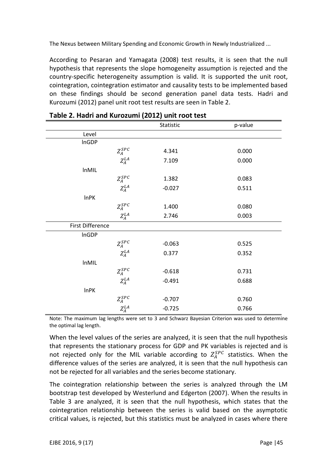According to Pesaran and Yamagata (2008) test results, it is seen that the null hypothesis that represents the slope homogeneity assumption is rejected and the country-specific heterogeneity assumption is valid. It is supported the unit root, cointegration, cointegration estimator and causality tests to be implemented based on these findings should be second generation panel data tests. Hadri and Kurozumi (2012) panel unit root test results are seen in Table 2.

|                  |             | Statistic | p-value |
|------------------|-------------|-----------|---------|
| Level            |             |           |         |
| InGDP            |             |           |         |
|                  | $Z_A^{SPC}$ | 4.341     | 0.000   |
|                  | $Z_A^{LA}$  | 7.109     | 0.000   |
| <b>InMIL</b>     |             |           |         |
|                  | $Z_A^{SPC}$ | 1.382     | 0.083   |
|                  | $Z_A^{LA}$  | $-0.027$  | 0.511   |
| <b>InPK</b>      |             |           |         |
|                  | $Z_A^{SPC}$ | 1.400     | 0.080   |
|                  | $Z_A^{LA}$  | 2.746     | 0.003   |
| First Difference |             |           |         |
| InGDP            |             |           |         |
|                  | $Z_A^{SPC}$ | $-0.063$  | 0.525   |
|                  | $Z_A^{LA}$  | 0.377     | 0.352   |
| <b>InMIL</b>     |             |           |         |
|                  | $Z_A^{SPC}$ | $-0.618$  | 0.731   |
|                  | $Z_A^{LA}$  | $-0.491$  | 0.688   |
| <b>InPK</b>      |             |           |         |
|                  | $Z_A^{SPC}$ | $-0.707$  | 0.760   |
|                  | $Z_A^{LA}$  | $-0.725$  | 0.766   |

|  |  |  |  | Table 2. Hadri and Kurozumi (2012) unit root test |
|--|--|--|--|---------------------------------------------------|
|--|--|--|--|---------------------------------------------------|

Note: The maximum lag lengths were set to 3 and Schwarz Bayesian Criterion was used to determine the optimal lag length.

When the level values of the series are analyzed, it is seen that the null hypothesis that represents the stationary process for GDP and PK variables is rejected and is not rejected only for the MIL variable according to  $Z_A^{SPC}$  statistics. When the difference values of the series are analyzed, it is seen that the null hypothesis can not be rejected for all variables and the series become stationary.

The cointegration relationship between the series is analyzed through the LM bootstrap test developed by Westerlund and Edgerton (2007). When the results in Table 3 are analyzed, it is seen that the null hypothesis, which states that the cointegration relationship between the series is valid based on the asymptotic critical values, is rejected, but this statistics must be analyzed in cases where there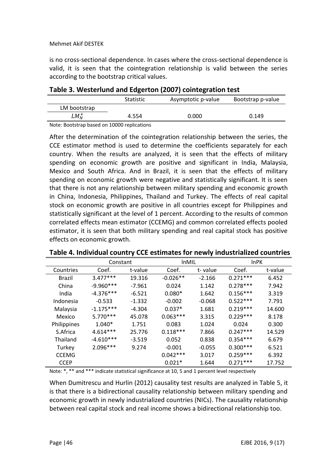is no cross-sectional dependence. In cases where the cross-sectional dependence is valid, it is seen that the cointegration relationship is valid between the series according to the bootstrap critical values.

|                                             | . .              |                    |                   |
|---------------------------------------------|------------------|--------------------|-------------------|
|                                             | <b>Statistic</b> | Asymptotic p-value | Bootstrap p-value |
| LM bootstrap                                |                  |                    |                   |
| $LM^+_{\scriptscriptstyle{M}}$              | 4.554            | 0.000              | 0.149             |
| Note: Bootstran based on 10000 replications |                  |                    |                   |

### **Table 3. Westerlund and Edgerton (2007) cointegration test**

Note: Bootstrap based on 10000 replications

After the determination of the cointegration relationship between the series, the CCE estimator method is used to determine the coefficients separately for each country. When the results are analyzed, it is seen that the effects of military spending on economic growth are positive and significant in India, Malaysia, Mexico and South Africa. And in Brazil, it is seen that the effects of military spending on economic growth were negative and statistically significant. It is seen that there is not any relationship between military spending and economic growth in China, Indonesia, Philippines, Thailand and Turkey. The effects of real capital stock on economic growth are positive in all countries except for Philippines and statistically significant at the level of 1 percent. According to the results of common correlated effects mean estimator (CCEMG) and common correlated effects pooled estimator, it is seen that both military spending and real capital stock has positive effects on economic growth.

|              | Constant    |          | <b>InMIL</b> |          | <b>InPK</b> |         |
|--------------|-------------|----------|--------------|----------|-------------|---------|
| Countries    | Coef.       | t-value  | Coef.        | t-value  | Coef.       | t-value |
| Brazil       | $3.477***$  | 19.316   | $-0.026**$   | $-2.166$ | $0.271***$  | 6.452   |
| China        | $-9.960***$ | $-7.961$ | 0.024        | 1.142    | $0.278***$  | 7.942   |
| India        | $-4.376***$ | $-6.521$ | $0.080*$     | 1.642    | $0.156***$  | 3.319   |
| Indonesia    | $-0.533$    | $-1.332$ | $-0.002$     | $-0.068$ | $0.522***$  | 7.791   |
| Malaysia     | $-1.175***$ | $-4.304$ | $0.037*$     | 1.681    | $0.219***$  | 14.600  |
| Mexico       | $5.770***$  | 45.078   | $0.063***$   | 3.315    | $0.229***$  | 8.178   |
| Philippines  | $1.040*$    | 1.751    | 0.083        | 1.024    | 0.024       | 0.300   |
| S.Africa     | $4.614***$  | 25.776   | $0.118***$   | 7.866    | $0.247***$  | 14.529  |
| Thailand     | $-4.610***$ | $-3.519$ | 0.052        | 0.838    | $0.354***$  | 6.679   |
| Turkey       | $2.096***$  | 9.274    | $-0.001$     | $-0.055$ | $0.300***$  | 6.521   |
| <b>CCEMG</b> |             |          | $0.042***$   | 3.017    | $0.259***$  | 6.392   |
| <b>CCEP</b>  |             |          | $0.021*$     | 1.644    | $0.271***$  | 17.752  |

#### **Table 4. Individual country CCE estimates for newly industrialized countries**

Note: \*, \*\* and \*\*\* indicate statistical significance at 10, 5 and 1 percent level respectively

When Dumitrescu and Hurlin (2012) causality test results are analyzed in Table 5, it is that there is a bidirectional causality relationship between military spending and economic growth in newly industrialized countries (NICs). The causality relationship between real capital stock and real income shows a bidirectional relationship too.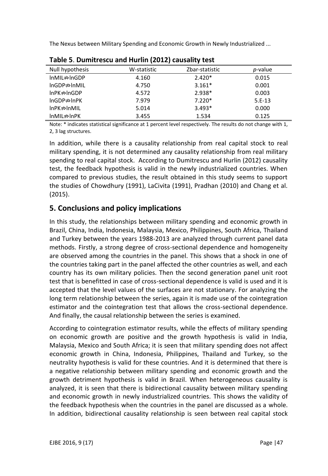| Null hypothesis            | W-statistic | Zbar-statistic | <i>p</i> -value |
|----------------------------|-------------|----------------|-----------------|
| InMIL⇒InGDP                | 4.160       | $2.420*$       | 0.015           |
| $InGDP \nRightarrow InMIL$ | 4.750       | $3.161*$       | 0.001           |
| $InPK \nRightarrow InGDP$  | 4.572       | $2.938*$       | 0.003           |
| $InGDP \nRightarrow InPK$  | 7.979       | $7.220*$       | $5.E-13$        |
| $InPK \nRightarrow InMIL$  | 5.014       | $3.493*$       | 0.000           |
| $InMIL \nRightarrow InPK$  | 3.455       | 1.534          | 0.125           |

**Table 5**. **Dumitrescu and Hurlin (2012) causality test**

Note: \* indicates statistical significance at 1 percent level respectively. The results do not change with 1, 2, 3 lag structures.

In addition, while there is a causality relationship from real capital stock to real military spending, it is not determined any causality relationship from real military spending to real capital stock. According to Dumitrescu and Hurlin (2012) causality test, the feedback hypothesis is valid in the newly industrialized countries. When compared to previous studies, the result obtained in this study seems to support the studies of Chowdhury (1991), LaCivita (1991), Pradhan (2010) and Chang et al. (2015).

## **5. Conclusions and policy implications**

In this study, the relationships between military spending and economic growth in Brazil, China, India, Indonesia, Malaysia, Mexico, Philippines, South Africa, Thailand and Turkey between the years 1988-2013 are analyzed through current panel data methods. Firstly, a strong degree of cross-sectional dependence and homogeneity are observed among the countries in the panel. This shows that a shock in one of the countries taking part in the panel affected the other countries as well, and each country has its own military policies. Then the second generation panel unit root test that is benefitted in case of cross-sectional dependence is valid is used and it is accepted that the level values of the surfaces are not stationary. For analyzing the long term relationship between the series, again it is made use of the cointegration estimator and the cointegration test that allows the cross-sectional dependence. And finally, the causal relationship between the series is examined.

According to cointegration estimator results, while the effects of military spending on economic growth are positive and the growth hypothesis is valid in India, Malaysia, Mexico and South Africa; it is seen that military spending does not affect economic growth in China, Indonesia, Philippines, Thailand and Turkey, so the neutrality hypothesis is valid for these countries. And it is determined that there is a negative relationship between military spending and economic growth and the growth detriment hypothesis is valid in Brazil. When heterogeneous causality is analyzed, it is seen that there is bidirectional causality between military spending and economic growth in newly industrialized countries. This shows the validity of the feedback hypothesis when the countries in the panel are discussed as a whole. In addition, bidirectional causality relationship is seen between real capital stock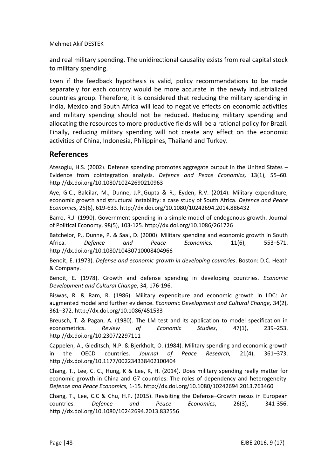and real military spending. The unidirectional causality exists from real capital stock to military spending.

Even if the feedback hypothesis is valid, policy recommendations to be made separately for each country would be more accurate in the newly industrialized countries group. Therefore, it is considered that reducing the military spending in India, Mexico and South Africa will lead to negative effects on economic activities and military spending should not be reduced. Reducing military spending and allocating the resources to more productive fields will be a rational policy for Brazil. Finally, reducing military spending will not create any effect on the economic activities of China, Indonesia, Philippines, Thailand and Turkey.

## **References**

Atesoglu, H.S. (2002). Defense spending promotes aggregate output in the United States – Evidence from cointegration analysis. *Defence and Peace Economics,* 13(1), 55–60. <http://dx.doi.org/10.1080/10242690210963>

Aye, G.C., Balcilar, M., Dunne, J.P.,Gupta & R., Eyden, R.V. (2014). Military expenditure, economic growth and structural instability: a case study of South Africa. *Defence and Peace Economics*, 25(6), 619-633. <http://dx.doi.org/10.1080/10242694.2014.886432>

Barro, R.J. (1990). Government spending in a simple model of endogenous growth. Journal of Political Economy, 98(5), 103-125. <http://dx.doi.org/10.1086/261726>

Batchelor, P., Dunne, P. & Saal, D. (2000). Military spending and economic growth in South Africa. *Defence and Peace Economics,* 11(6), 553–571. <http://dx.doi.org/10.1080/10430710008404966>

Benoit, E. (1973). *Defense and economic growth in developing countries*. Boston: D.C. Heath & Company.

Benoit, E. (1978). Growth and defense spending in developing countries. *Economic Development and Cultural Change*, 34, 176-196.

Biswas, R. & Ram, R. (1986). Military expenditure and economic growth in LDC: An augmented model and further evidence. *Economic Development and Cultural Change,* 34(2), 361–372. <http://dx.doi.org/10.1086/451533>

Breusch, T. & Pagan, A. (1980). The LM test and its application to model specification in econometrics. *Review of Economic Studies*, 47(1), 239–253. <http://dx.doi.org/10.2307/2297111>

Cappelen, A., Gleditsch, N.P. & Bjerkholt, O. (1984). Military spending and economic growth in the OECD countries. *Journal of Peace Research,* 21(4), 361–373. <http://dx.doi.org/10.1177/002234338402100404>

Chang, T., Lee, C. C., Hung, K & Lee, K, H. (2014). Does military spending really matter for economic growth in China and G7 countries: The roles of dependency and heterogeneity. *Defence and Peace Economics,* 1-15. http://dx.doi.org/10.1080/10242694.2013.763460

Chang, T., Lee, C.C & Chu, H.P. (2015). Revisiting the Defense–Growth nexus in European countries. *Defence and Peace Economics*, 26(3), 341-356. <http://dx.doi.org/10.1080/10242694.2013.832556>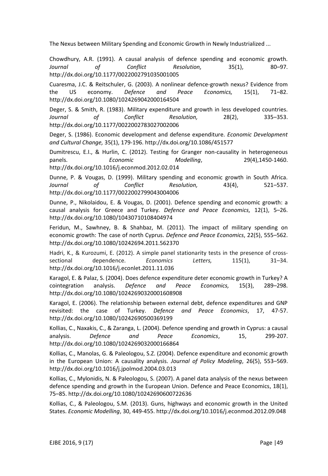Chowdhury, A.R. (1991). A causal analysis of defence spending and economic growth. *Journal of Conflict Resolution,* 35(1), 80–97. <http://dx.doi.org/10.1177/0022002791035001005>

Cuaresma, J.C. & Reitschuler, G. (2003). A nonlinear defence-growth nexus? Evidence from the US economy. *Defence and Peace Economics,* 15(1), 71–82. <http://dx.doi.org/10.1080/1024269042000164504>

Deger, S. & Smith, R. (1983). Military expenditure and growth in less developed countries. *Journal of Conflict Resolution,* 28(2), 335–353. <http://dx.doi.org/10.1177/0022002783027002006>

Deger, S. (1986). Economic development and defense expenditure. *Economic Development and Cultural Change,* 35(1), 179-196. <http://dx.doi.org/10.1086/451577>

Dumitrescu, E.I., & Hurlin, C. (2012). Testing for Granger non-causality in heterogeneous panels. *Economic Modelling*, 29(4),1450-1460. <http://dx.doi.org/10.1016/j.econmod.2012.02.014>

Dunne, P. & Vougas, D. (1999). Military spending and economic growth in South Africa. *Journal of Conflict Resolution,* 43(4), 521–537. <http://dx.doi.org/10.1177/0022002799043004006>

Dunne, P., Nikolaidou, E. & Vougas, D. (2001). Defence spending and economic growth: a causal analysis for Greece and Turkey. *Defence and Peace Economics,* 12(1), 5–26. <http://dx.doi.org/10.1080/10430710108404974>

Feridun, M., Sawhney, B. & Shahbaz, M. (2011). The impact of military spending on economic growth: The case of north Cyprus. *Defence and Peace Economics*, 22(5), 555–562. <http://dx.doi.org/10.1080/10242694.2011.562370>

Hadri, K., & Kurozumi, E. (2012). A simple panel stationarity tests in the presence of crosssectional dependence. *Economics Letters,* 115(1), 31–34. <http://dx.doi.org/10.1016/j.econlet.2011.11.036>

Karagol, E. & Palaz, S. (2004). Does defence expenditure deter economic growth in Turkey? A cointegration analysis. *Defence and Peace Economics,* 15(3), 289–298. <http://dx.doi.org/10.1080/10242690320001608908>

Karagol, E. (2006). The relationship between external debt, defence expenditures and GNP revisited: the case of Turkey. *Defence and Peace Economics*, 17, 47-57. <http://dx.doi.org/10.1080/10242690500369199>

Kollias, C., Naxakis, C., & Zaranga, L. (2004). Defence spending and growth in Cyprus: a causal analysis. *Defence and Peace Economics*, 15, 299-207. <http://dx.doi.org/10.1080/1024269032000166864>

Kollias, C., Manolas, G. & Paleologou, S.Z. (2004). Defence expenditure and economic growth in the European Union: A causality analysis. *Journal of Policy Modeling*, 26(5), 553–569. <http://dx.doi.org/10.1016/j.jpolmod.2004.03.013>

Kollias, C., Mylonidis, N. & Paleologou, S. (2007). A panel data analysis of the nexus between defence spending and growth in the European Union. Defence and Peace Economics, 18(1), 75–85. <http://dx.doi.org/10.1080/10242690600722636>

Kollias, C., & Paleologou, S.M. (2013). Guns, highways and economic growth in the United States. *Economic Modelling*, 30, 449-455. <http://dx.doi.org/10.1016/j.econmod.2012.09.048>